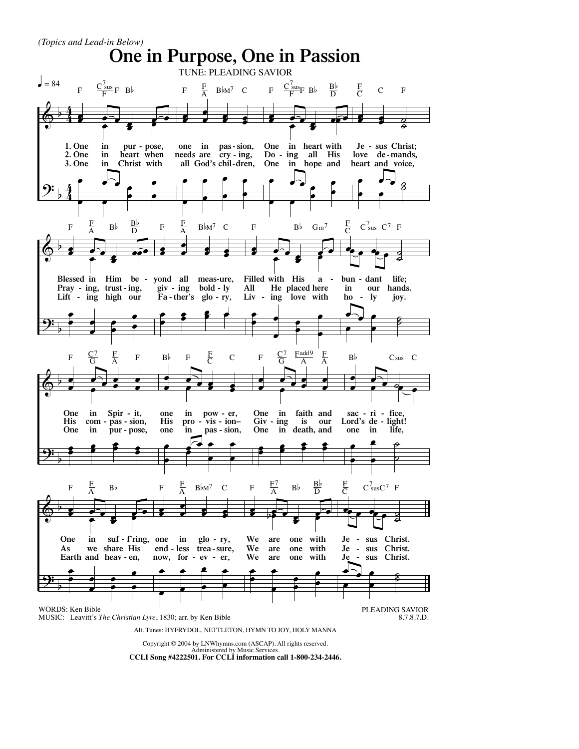$\Phi$ <u>9:</u> b b 4 4 4 4 œ œ œ بطن<br>و د  $\cdot$   $\cdot$ œ œ **1. One 2. One 3. One in in in pur - pose, heart when Christ with** œ  $\overline{\cdot}$ <u>باء</u> .<br>. . . œ  $F \frac{C_{\text{sus}}^7}{F} F B$ œ <sup>œ</sup> <sup>œ</sup> .<br>. . **e** œ **one in pas-sion, needs are ing, all God's cry - chil-dren,** œ œ œ œ œ œ œ œ  $F = \frac{F}{\Delta}$  $B\flat M^7$  C œ œ œ <mark>。 ●</mark>  $\overline{\mathbf{e}}$ **One in heart with Do - One in hope and ing all His** œ  $\overline{\cdot}$ <u>لماء</u>  $\cdot$   $\cdot$ œ  $F \quad \frac{C_{\text{sus}}^7}{F} B \flat \quad \frac{B \flat}{D}$ œ œ œ  $\bullet$  $\frac{d}{dt}$ **Je - sus Christ; love mands, heart de - and voice,** œ  $\overline{\cdot}$  $\frac{1}{2}$  $\frac{2}{5}$ F <sup>C</sup> <sup>C</sup> <sup>F</sup>  $\pmb{\phi}$ <u>9:</u> b b œ  $\frac{1}{2}$ œ œ œ œ  $\overrightarrow{e}$ **Blessed in Pray - ing, trust - ing, Lift - ing high our Him be - yond all meas-ure,** œ  $\stackrel{\bullet}{\bullet}$  $\frac{1}{\cdot}$  $\cdot$   $\cdot$ œ  $F$   $\frac{F}{A}$  $\frac{F}{A}$  B<sub>b</sub>  $\frac{B}{D}$ œ 。<br>s 。 .<br>.<br>. **:** œ **giv - ing bold - ly Fa - ther's glo - ry,** œ  $\cdot$   $\cdot$  $\cdot$   $\cdot$  $\ddot{\bullet}$  $F$   $\frac{F}{A}$  $B \flat M^7$  C œ œ œ œ œ œ œ  $\cdot$ **Filled with His All Liv - ing love with He placed here a**  œ  $\frac{\cdot}{\cdot}$   $\cdot$  $\frac{1}{\cdot}$  $\frac{1}{2}$ œ F  $B^{\frac{1}{2}}$   $Gm^7$  $e$   $e$   $e$   $e$  $\frac{1}{2}$ **bun - dant in ho - ly our hands. life; joy.** œ  $\mathbf{\Omega}_{\mathbf{f}}$  $\begin{array}{c} \bullet \\ \bullet \end{array}$  $\frac{2}{5}$ F  $C<sup>7</sup>$ sus  $C<sup>7</sup>$  F  $\Phi$ <u>9:</u> b b œ <sup>œ</sup> <sup>œ</sup> <sup>œ</sup> <sup>œ</sup> <sup>œ</sup> œ œ œ **One His com - in Spir - pas - pur - One in** Spir - it, **sion, pose,** œ  $\cdot$   $\cdot$  $\overline{\cdot}$  $\frac{1}{2}$ œ F  $\frac{C^7}{G}$  $\frac{F}{A}$  F œ 。<br>● ●  $\mathbf{e}$ œ œ œ **one His one in pro - in ion– pow - vis - pas - sion, er,** œ  $\cdot$   $\cdot$  $\Xi$ :  $\ddot{\bullet}$ œ  $B^{\flat}$  F  $\frac{F}{C}$  C œ <sup>œ</sup> <sup>œ</sup> <sup>œ</sup> <sup>œ</sup> <sup>œ</sup> 。<br>● 。 œ **One in faith and Giv - One in death, and** Giv - ing **is our** œ  $\cdot$   $\cdot$ <u>.</u>  $\cdot$   $\cdot$ œ F  $\frac{C^7}{G}$  $\underline{\mbox{F}}$ add<br/>9 $\,$ A F A œ  $\overset{\bullet}{\cdot}$   $\overset{\bullet}{\cdot}$  $\begin{array}{c} \begin{array}{c} \hline \text{ } \bullet \end{array} & \bullet \\ \hline \end{array}$ **sac - Lord's ri - de - in one** sac - ri - fice, **light! life,** œ œ œ œ ˙  $\overline{\phantom{a}}$  $B$ <sub>b</sub> Csus C  $\pmb{\phi}$ <u>9:</u> b b œ **e**  $\frac{1}{2}$   $\frac{1}{2}$   $\frac{1}{2}$  $\epsilon$   $\epsilon$ **One As Earth and heav - en, in we suf - f'ring, one in share His** œ  $\stackrel{\bullet}{\cdot}$   $\stackrel{\bullet}{\cdot}$  $\cdot$   $\cdot$  $\cdot$  . œ  $F \frac{F}{A}$  Bb œ 。<br>s 。  $\cdot$  . **s** : œ **end - now, for - trea - ev - er,** less trea-sure, **glo - ry,** œ œ œ œ œ œ œ œ  $F$   $\frac{F}{A}$  $B \flat M^7$  C œ  $\bullet$   $\bullet$   $\bullet$   $\bullet$  $\epsilon$   $\epsilon$ **We are We We are are one with one one with with** œ  $\bullet$  $\qquad \qquad \bullet$  $\cdot$   $\cdot$ œ  $F = \frac{F^7}{A}$  $\frac{F^7}{A}$  B<sub>b</sub>  $\frac{B_b}{D}$  $e$   $e$   $e$   $e$  $\frac{1}{2}$ **Je - sus Christ. Je - Je sus sus Christ. Christ.** œ  $\mathbf{E}$  .  $\frac{1}{\epsilon}$  $\frac{2}{5}$ F<sub>C</sub>  $C<sup>7</sup>_{sus}C<sup>7</sup>$  F **One in Purpose, One in Passion** WORDS: Ken Bible MUSIC: Leavitt's *The Christian Lyre*, 1830; arr. by Ken Bible PLEADING SAVIOR 8.7.8.7.D. *(Topics and Lead-in Below)* Alt. Tunes: HYFRYDOL, NETTLETON, HYMN TO JOY, HOLY MANNA TUNE: PLEADING SAVIOR  $\bullet$  = 84

Copyright © 2004 by LNWhymns.com (ASCAP). All rights reserved. Administered by Music Services. **CCLI Song #4222501. For CCLI information call 1-800-234-2446.**